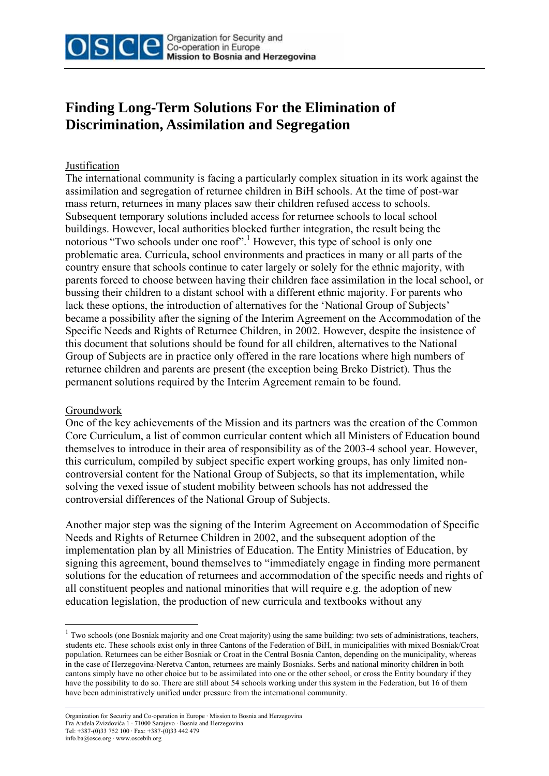

## **Finding Long-Term Solutions For the Elimination of Discrimination, Assimilation and Segregation**

## Justification

The international community is facing a particularly complex situation in its work against the assimilation and segregation of returnee children in BiH schools. At the time of post-war mass return, returnees in many places saw their children refused access to schools. Subsequent temporary solutions included access for returnee schools to local school buildings. However, local authorities blocked further integration, the result being the notorious "Two schools under one roof".<sup>1</sup> However, this type of school is only one problematic area. Curricula, school environments and practices in many or all parts of the country ensure that schools continue to cater largely or solely for the ethnic majority, with parents forced to choose between having their children face assimilation in the local school, or bussing their children to a distant school with a different ethnic majority. For parents who lack these options, the introduction of alternatives for the 'National Group of Subjects' became a possibility after the signing of the Interim Agreement on the Accommodation of the Specific Needs and Rights of Returnee Children, in 2002. However, despite the insistence of this document that solutions should be found for all children, alternatives to the National Group of Subjects are in practice only offered in the rare locations where high numbers of returnee children and parents are present (the exception being Brcko District). Thus the permanent solutions required by the Interim Agreement remain to be found.

## Groundwork

1

One of the key achievements of the Mission and its partners was the creation of the Common Core Curriculum, a list of common curricular content which all Ministers of Education bound themselves to introduce in their area of responsibility as of the 2003-4 school year. However, this curriculum, compiled by subject specific expert working groups, has only limited noncontroversial content for the National Group of Subjects, so that its implementation, while solving the vexed issue of student mobility between schools has not addressed the controversial differences of the National Group of Subjects.

Another major step was the signing of the Interim Agreement on Accommodation of Specific Needs and Rights of Returnee Children in 2002, and the subsequent adoption of the implementation plan by all Ministries of Education. The Entity Ministries of Education, by signing this agreement, bound themselves to "immediately engage in finding more permanent solutions for the education of returnees and accommodation of the specific needs and rights of all constituent peoples and national minorities that will require e.g. the adoption of new education legislation, the production of new curricula and textbooks without any

<sup>&</sup>lt;sup>1</sup> Two schools (one Bosniak majority and one Croat majority) using the same building: two sets of administrations, teachers, students etc. These schools exist only in three Cantons of the Federation of BiH, in municipalities with mixed Bosniak/Croat population. Returnees can be either Bosniak or Croat in the Central Bosnia Canton, depending on the municipality, whereas in the case of Herzegovina-Neretva Canton, returnees are mainly Bosniaks. Serbs and national minority children in both cantons simply have no other choice but to be assimilated into one or the other school, or cross the Entity boundary if they have the possibility to do so. There are still about 54 schools working under this system in the Federation, but 16 of them have been administratively unified under pressure from the international community.